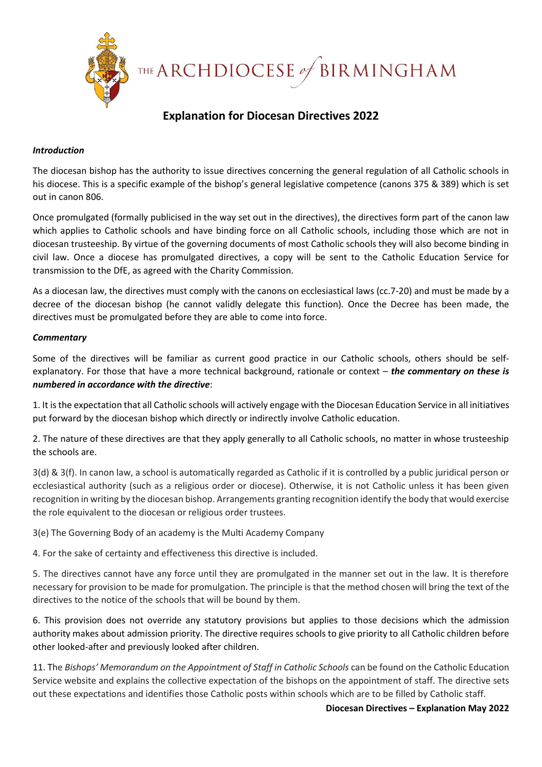

THE ARCHDIOCESE of BIRMINGHAM

## **Explanation for Diocesan Directives 2022**

### *Introduction*

The diocesan bishop has the authority to issue directives concerning the general regulation of all Catholic schools in his diocese. This is a specific example of the bishop's general legislative competence (canons 375 & 389) which is set out in canon 806.

Once promulgated (formally publicised in the way set out in the directives), the directives form part of the canon law which applies to Catholic schools and have binding force on all Catholic schools, including those which are not in diocesan trusteeship. By virtue of the governing documents of most Catholic schools they will also become binding in civil law. Once a diocese has promulgated directives, a copy will be sent to the Catholic Education Service for transmission to the DfE, as agreed with the Charity Commission.

As a diocesan law, the directives must comply with the canons on ecclesiastical laws (cc.7-20) and must be made by a decree of the diocesan bishop (he cannot validly delegate this function). Once the Decree has been made, the directives must be promulgated before they are able to come into force.

### *Commentary*

Some of the directives will be familiar as current good practice in our Catholic schools, others should be selfexplanatory. For those that have a more technical background, rationale or context – *the commentary on these is numbered in accordance with the directive*:

1. It is the expectation that all Catholic schools will actively engage with the Diocesan Education Service in all initiatives put forward by the diocesan bishop which directly or indirectly involve Catholic education.

2. The nature of these directives are that they apply generally to all Catholic schools, no matter in whose trusteeship the schools are.

3(d) & 3(f). In canon law, a school is automatically regarded as Catholic if it is controlled by a public juridical person or ecclesiastical authority (such as a religious order or diocese). Otherwise, it is not Catholic unless it has been given recognition in writing by the diocesan bishop. Arrangements granting recognition identify the body that would exercise the role equivalent to the diocesan or religious order trustees.

3(e) The Governing Body of an academy is the Multi Academy Company

4. For the sake of certainty and effectiveness this directive is included.

5. The directives cannot have any force until they are promulgated in the manner set out in the law. It is therefore necessary for provision to be made for promulgation. The principle is that the method chosen will bring the text of the directives to the notice of the schools that will be bound by them.

6. This provision does not override any statutory provisions but applies to those decisions which the admission authority makes about admission priority. The directive requires schools to give priority to all Catholic children before other looked-after and previously looked after children.

11. The *Bishops' Memorandum on the Appointment of Staff in Catholic Schools* can be found on the Catholic Education Service website and explains the collective expectation of the bishops on the appointment of staff. The directive sets out these expectations and identifies those Catholic posts within schools which are to be filled by Catholic staff.

#### **Diocesan Directives – Explanation May 2022**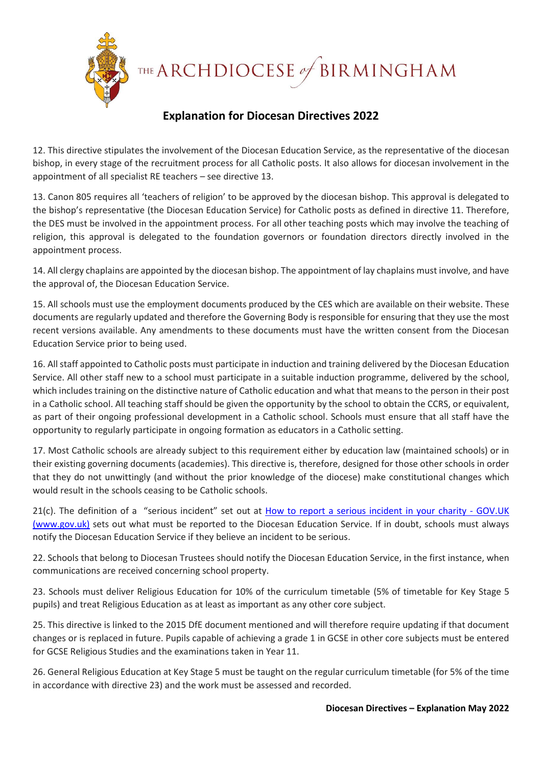THE ARCHDIOCESE of BIRMINGHAM

## **Explanation for Diocesan Directives 2022**

12. This directive stipulates the involvement of the Diocesan Education Service, as the representative of the diocesan bishop, in every stage of the recruitment process for all Catholic posts. It also allows for diocesan involvement in the appointment of all specialist RE teachers – see directive 13.

13. Canon 805 requires all 'teachers of religion' to be approved by the diocesan bishop. This approval is delegated to the bishop's representative (the Diocesan Education Service) for Catholic posts as defined in directive 11. Therefore, the DES must be involved in the appointment process. For all other teaching posts which may involve the teaching of religion, this approval is delegated to the foundation governors or foundation directors directly involved in the appointment process.

14. All clergy chaplains are appointed by the diocesan bishop. The appointment of lay chaplains must involve, and have the approval of, the Diocesan Education Service.

15. All schools must use the employment documents produced by the CES which are available on their website. These documents are regularly updated and therefore the Governing Body is responsible for ensuring that they use the most recent versions available. Any amendments to these documents must have the written consent from the Diocesan Education Service prior to being used.

16. All staff appointed to Catholic posts must participate in induction and training delivered by the Diocesan Education Service. All other staff new to a school must participate in a suitable induction programme, delivered by the school, which includes training on the distinctive nature of Catholic education and what that means to the person in their post in a Catholic school. All teaching staff should be given the opportunity by the school to obtain the CCRS, or equivalent, as part of their ongoing professional development in a Catholic school. Schools must ensure that all staff have the opportunity to regularly participate in ongoing formation as educators in a Catholic setting.

17. Most Catholic schools are already subject to this requirement either by education law (maintained schools) or in their existing governing documents (academies). This directive is, therefore, designed for those other schools in order that they do not unwittingly (and without the prior knowledge of the diocese) make constitutional changes which would result in the schools ceasing to be Catholic schools.

21(c). The definition of a "serious incident" set out at [How to report a serious incident in your charity -](https://www.gov.uk/guidance/how-to-report-a-serious-incident-in-your-charity) GOV.UK [\(www.gov.uk\)](https://www.gov.uk/guidance/how-to-report-a-serious-incident-in-your-charity) sets out what must be reported to the Diocesan Education Service. If in doubt, schools must always notify the Diocesan Education Service if they believe an incident to be serious.

22. Schools that belong to Diocesan Trustees should notify the Diocesan Education Service, in the first instance, when communications are received concerning school property.

23. Schools must deliver Religious Education for 10% of the curriculum timetable (5% of timetable for Key Stage 5 pupils) and treat Religious Education as at least as important as any other core subject.

25. This directive is linked to the 2015 DfE document mentioned and will therefore require updating if that document changes or is replaced in future. Pupils capable of achieving a grade 1 in GCSE in other core subjects must be entered for GCSE Religious Studies and the examinations taken in Year 11.

26. General Religious Education at Key Stage 5 must be taught on the regular curriculum timetable (for 5% of the time in accordance with directive 23) and the work must be assessed and recorded.